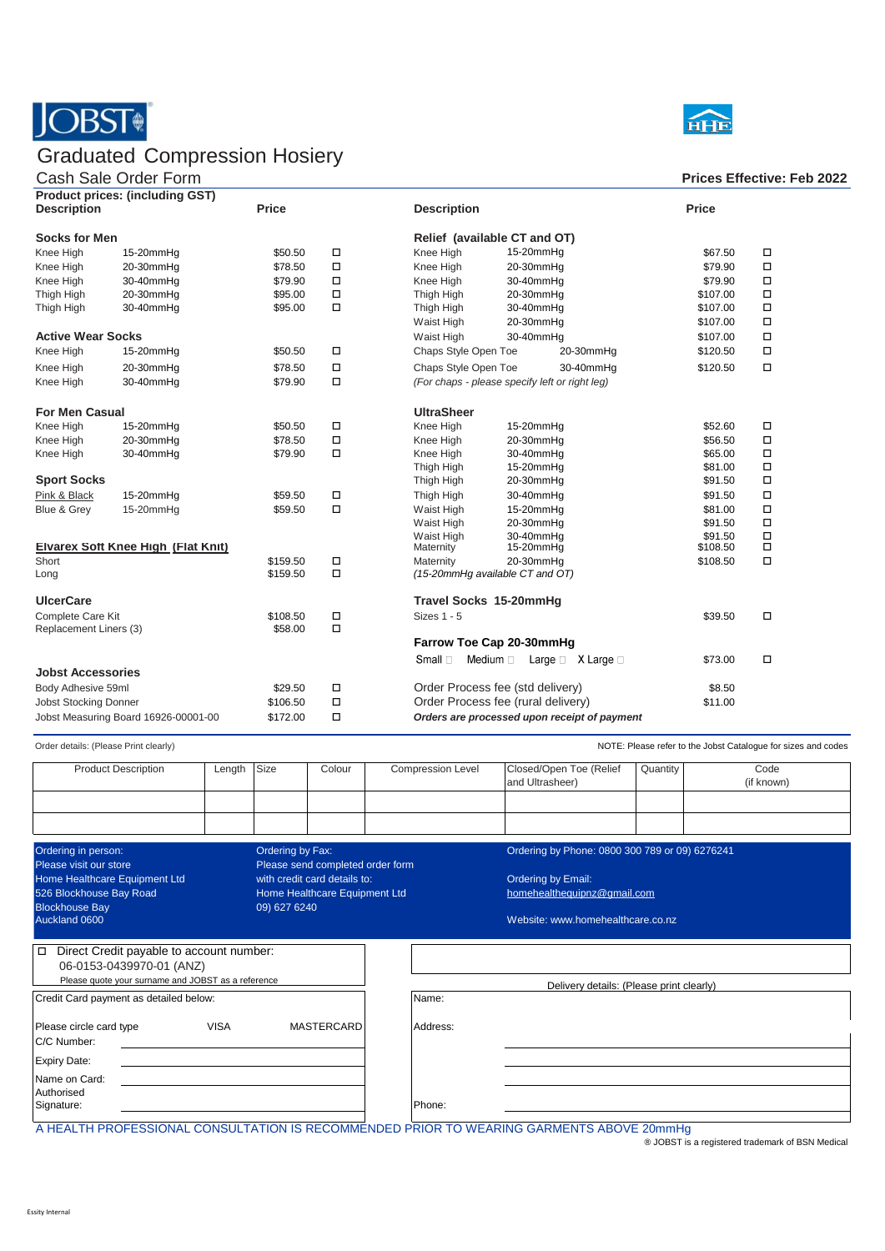

## Graduated Compression Hosiery

## Cash Sale Order Form **Prices Effective: Feb 2022**



| <b>Product prices: (including GST)</b> |           |              |                   |                                                           |              |        |  |  |
|----------------------------------------|-----------|--------------|-------------------|-----------------------------------------------------------|--------------|--------|--|--|
| <b>Description</b>                     |           | <b>Price</b> |                   | <b>Description</b>                                        | <b>Price</b> |        |  |  |
| <b>Socks for Men</b>                   |           |              |                   | Relief (available CT and OT)                              |              |        |  |  |
| Knee High                              | 15-20mmHg | \$50.50      | $\Box$            | 15-20mmHg<br>Knee High                                    | \$67.50      | $\Box$ |  |  |
| Knee High                              | 20-30mmHg | \$78.50      | $\Box$            | Knee High<br>20-30mmHg                                    | \$79.90      | $\Box$ |  |  |
| Knee High                              | 30-40mmHq | \$79.90      | $\Box$            | 30-40mmHq<br>Knee High                                    | \$79.90      | $\Box$ |  |  |
| Thigh High                             | 20-30mmHg | \$95.00      | $\Box$            | Thigh High<br>20-30mmHg                                   | \$107.00     | $\Box$ |  |  |
| Thigh High                             | 30-40mmHg | \$95.00      | $\Box$            | Thigh High<br>30-40mmHg                                   | \$107.00     | $\Box$ |  |  |
|                                        |           |              |                   | 20-30mmHg<br>Waist High                                   | \$107.00     | $\Box$ |  |  |
| <b>Active Wear Socks</b>               |           |              |                   | 30-40mmHg<br>Waist High                                   | \$107.00     | $\Box$ |  |  |
| Knee High                              | 15-20mmHg | \$50.50      | $\Box$            | Chaps Style Open Toe<br>20-30mmHg                         | \$120.50     | $\Box$ |  |  |
| Knee High                              | 20-30mmHg | \$78.50      | $\Box$            | Chaps Style Open Toe<br>30-40mmHq                         | \$120.50     | $\Box$ |  |  |
| Knee High                              | 30-40mmHq | \$79.90      | $\Box$            | (For chaps - please specify left or right leg)            |              |        |  |  |
| <b>For Men Casual</b>                  |           |              | <b>UltraSheer</b> |                                                           |              |        |  |  |
| Knee High                              | 15-20mmHq | \$50.50      | $\Box$            | Knee High<br>15-20mmHg                                    | \$52.60      | $\Box$ |  |  |
| Knee High                              | 20-30mmHg | \$78.50      | $\Box$            | Knee High<br>20-30mmHg                                    | \$56.50      | $\Box$ |  |  |
| Knee High                              | 30-40mmHg | \$79.90      | $\Box$            | Knee High<br>30-40mmHg                                    | \$65.00      | $\Box$ |  |  |
|                                        |           |              |                   | Thigh High<br>15-20mmHg                                   | \$81.00      | $\Box$ |  |  |
| <b>Sport Socks</b>                     |           |              |                   | 20-30mmHg<br>Thigh High                                   | \$91.50      | $\Box$ |  |  |
| Pink & Black                           | 15-20mmHq | \$59.50      | $\Box$            | Thigh High<br>30-40mmHg                                   | \$91.50      | $\Box$ |  |  |
| Blue & Grey                            | 15-20mmHq | \$59.50      | $\Box$            | 15-20mmHg<br>Waist High                                   | \$81.00      | $\Box$ |  |  |
|                                        |           |              |                   | 20-30mmHg<br>Waist High                                   | \$91.50      | $\Box$ |  |  |
|                                        |           |              |                   | Waist High<br>30-40mmHg                                   | \$91.50      | $\Box$ |  |  |
| Elvarex Soft Knee High (Flat Knit)     |           |              |                   | 15-20mmHg<br>Maternity                                    | \$108.50     | $\Box$ |  |  |
| Short                                  |           | \$159.50     | $\Box$<br>$\Box$  | 20-30mmHg<br>Maternity                                    | \$108.50     | $\Box$ |  |  |
| Long                                   |           | \$159.50     |                   | (15-20mmHg available CT and OT)                           |              |        |  |  |
| <b>UlcerCare</b>                       |           |              |                   | Travel Socks 15-20mmHg                                    |              |        |  |  |
| Complete Care Kit                      |           | \$108.50     | $\Box$            | Sizes 1 - 5                                               | \$39.50      | $\Box$ |  |  |
| Replacement Liners (3)                 |           | \$58.00      | $\Box$            | Farrow Toe Cap 20-30mmHg                                  |              |        |  |  |
|                                        |           |              |                   | Small $\Box$<br>Medium $\Box$ Large $\Box$ X Large $\Box$ | \$73.00      | $\Box$ |  |  |
| <b>Jobst Accessories</b>               |           |              |                   |                                                           |              |        |  |  |
| Body Adhesive 59ml                     |           | \$29.50      | $\Box$            | Order Process fee (std delivery)                          | \$8.50       |        |  |  |
| <b>Jobst Stocking Donner</b>           |           | \$106.50     | $\Box$            | Order Process fee (rural delivery)                        | \$11.00      |        |  |  |
| Jobst Measuring Board 16926-00001-00   |           | \$172.00     | $\Box$            | Orders are processed upon receipt of payment              |              |        |  |  |
|                                        |           |              |                   |                                                           |              |        |  |  |

Order details: (Please Print clearly) **NOTE: Please refer to the Jobst Catalogue for sizes and codes** 

| <b>Product Description</b>                                                                            | Length      | Size | Colour                                                        | <b>Compression Level</b> |                                                | Closed/Open Toe (Relief<br>and Ultrasheer)        | Quantity | Code<br>(if known) |  |
|-------------------------------------------------------------------------------------------------------|-------------|------|---------------------------------------------------------------|--------------------------|------------------------------------------------|---------------------------------------------------|----------|--------------------|--|
|                                                                                                       |             |      |                                                               |                          |                                                |                                                   |          |                    |  |
| Ordering in person:<br>Ordering by Fax:<br>Please visit our store<br>Please send completed order form |             |      |                                                               |                          | Ordering by Phone: 0800 300 789 or 09) 6276241 |                                                   |          |                    |  |
| Home Healthcare Equipment Ltd<br>526 Blockhouse Bay Road<br><b>Blockhouse Bay</b><br>09) 627 6240     |             |      | with credit card details to:<br>Home Healthcare Equipment Ltd |                          |                                                | Ordering by Email:<br>homehealthequipnz@gmail.com |          |                    |  |
| Auckland 0600                                                                                         |             |      |                                                               |                          |                                                | Website: www.homehealthcare.co.nz                 |          |                    |  |
| Direct Credit payable to account number:<br>$\Box$<br>06-0153-0439970-01 (ANZ)                        |             |      |                                                               |                          |                                                |                                                   |          |                    |  |
| Please quote your surname and JOBST as a reference                                                    |             |      |                                                               |                          | Delivery details: (Please print clearly)       |                                                   |          |                    |  |
| Credit Card payment as detailed below:                                                                |             |      |                                                               |                          | Name:                                          |                                                   |          |                    |  |
| Please circle card type<br>C/C Number:                                                                | <b>VISA</b> |      | <b>MASTERCARD</b>                                             |                          | Address:                                       |                                                   |          |                    |  |
| <b>Expiry Date:</b>                                                                                   |             |      |                                                               |                          |                                                |                                                   |          |                    |  |
| Name on Card:<br>Authorised                                                                           |             |      |                                                               |                          |                                                |                                                   |          |                    |  |
| Signature:                                                                                            |             |      |                                                               |                          | Phone:                                         |                                                   |          |                    |  |

A HEALTH PROFESSIONAL CONSULTATION IS RECOMMENDED PRIOR TO WEARING GARMENTS ABOVE 20mmHg

® JOBST is a registered trademark of BSN Medical